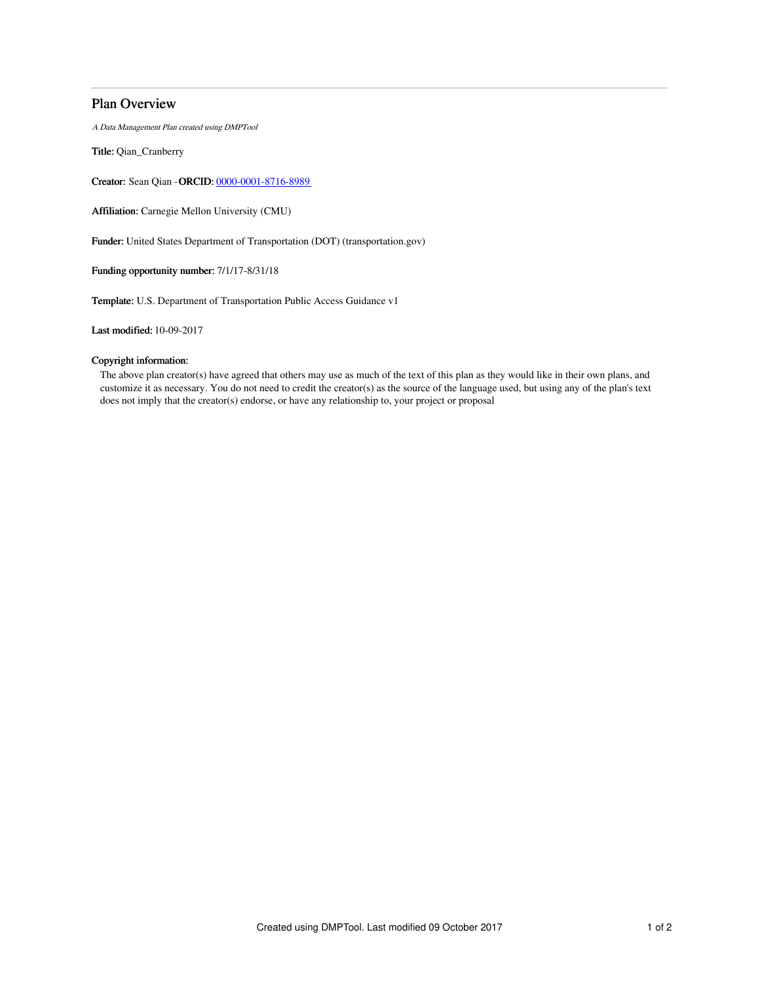## Plan Overview

A Data Management Plan created using DMPTool

Title: Qian\_Cranberry

Creator: Sean Qian -ORCID: [0000-0001-8716-8989](https://orcid.org/0000-0001-8716-8989)

Affiliation: Carnegie Mellon University (CMU)

Funder: United States Department of Transportation (DOT) (transportation.gov)

Funding opportunity number: 7/1/17-8/31/18

Template: U.S. Department of Transportation Public Access Guidance v1

Last modified: 10-09-2017

## Copyright information:

The above plan creator(s) have agreed that others may use as much of the text of this plan as they would like in their own plans, and customize it as necessary. You do not need to credit the creator(s) as the source of the language used, but using any of the plan's text does not imply that the creator(s) endorse, or have any relationship to, your project or proposal